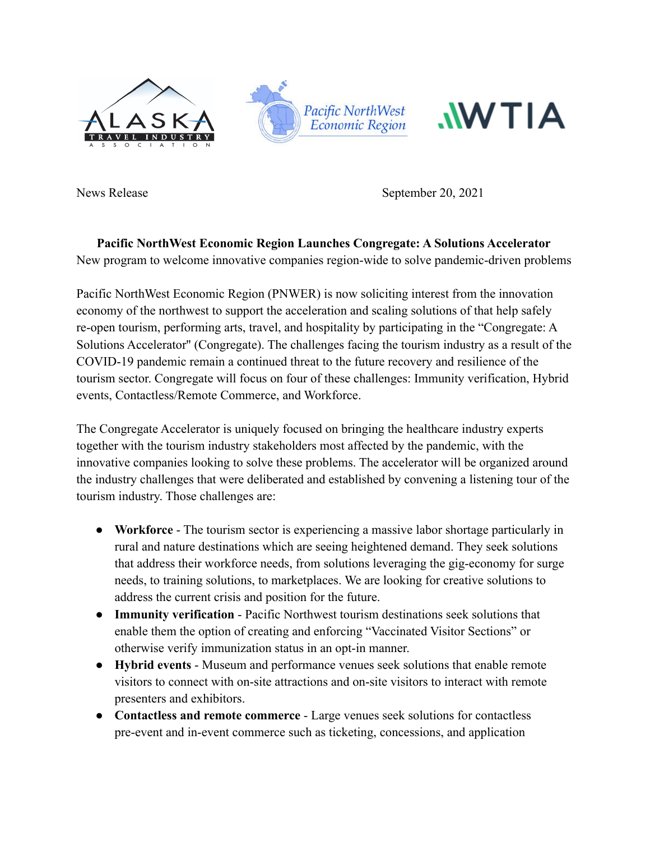



News Release September 20, 2021

**Pacific NorthWest Economic Region Launches Congregate: A Solutions Accelerator** New program to welcome innovative companies region-wide to solve pandemic-driven problems

Pacific NorthWest Economic Region (PNWER) is now soliciting interest from the innovation economy of the northwest to support the acceleration and scaling solutions of that help safely re-open tourism, performing arts, travel, and hospitality by participating in the "Congregate: A Solutions Accelerator'' (Congregate). The challenges facing the tourism industry as a result of the COVID-19 pandemic remain a continued threat to the future recovery and resilience of the tourism sector. Congregate will focus on four of these challenges: Immunity verification, Hybrid events, Contactless/Remote Commerce, and Workforce.

The Congregate Accelerator is uniquely focused on bringing the healthcare industry experts together with the tourism industry stakeholders most affected by the pandemic, with the innovative companies looking to solve these problems. The accelerator will be organized around the industry challenges that were deliberated and established by convening a listening tour of the tourism industry. Those challenges are:

- **Workforce** The tourism sector is experiencing a massive labor shortage particularly in rural and nature destinations which are seeing heightened demand. They seek solutions that address their workforce needs, from solutions leveraging the gig-economy for surge needs, to training solutions, to marketplaces. We are looking for creative solutions to address the current crisis and position for the future.
- **Immunity verification** Pacific Northwest tourism destinations seek solutions that enable them the option of creating and enforcing "Vaccinated Visitor Sections" or otherwise verify immunization status in an opt-in manner.
- **Hybrid events** Museum and performance venues seek solutions that enable remote visitors to connect with on-site attractions and on-site visitors to interact with remote presenters and exhibitors.
- **Contactless and remote commerce** Large venues seek solutions for contactless pre-event and in-event commerce such as ticketing, concessions, and application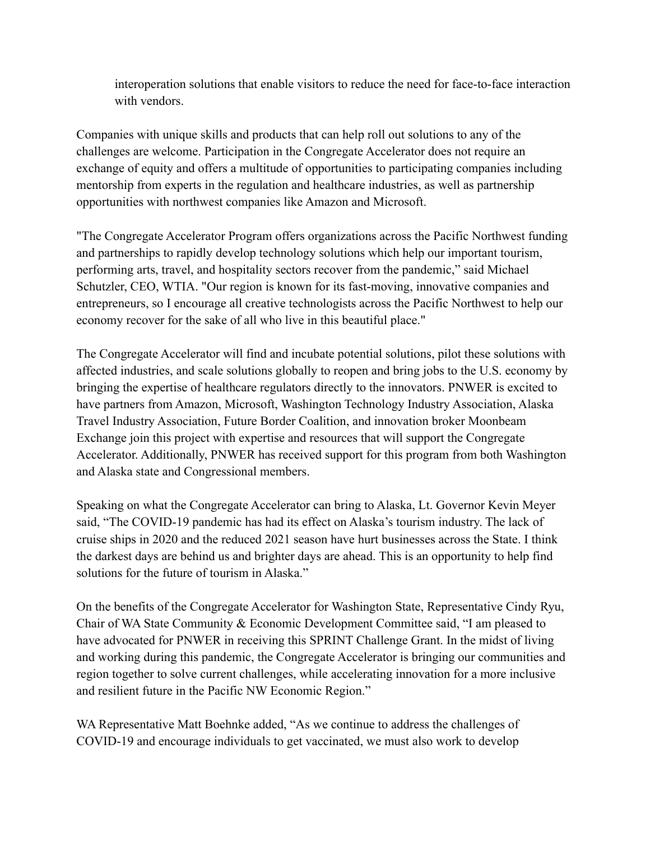interoperation solutions that enable visitors to reduce the need for face-to-face interaction with vendors.

Companies with unique skills and products that can help roll out solutions to any of the challenges are welcome. Participation in the Congregate Accelerator does not require an exchange of equity and offers a multitude of opportunities to participating companies including mentorship from experts in the regulation and healthcare industries, as well as partnership opportunities with northwest companies like Amazon and Microsoft.

"The Congregate Accelerator Program offers organizations across the Pacific Northwest funding and partnerships to rapidly develop technology solutions which help our important tourism, performing arts, travel, and hospitality sectors recover from the pandemic," said Michael Schutzler, CEO, WTIA. "Our region is known for its fast-moving, innovative companies and entrepreneurs, so I encourage all creative technologists across the Pacific Northwest to help our economy recover for the sake of all who live in this beautiful place."

The Congregate Accelerator will find and incubate potential solutions, pilot these solutions with affected industries, and scale solutions globally to reopen and bring jobs to the U.S. economy by bringing the expertise of healthcare regulators directly to the innovators. PNWER is excited to have partners from Amazon, Microsoft, Washington Technology Industry Association, Alaska Travel Industry Association, Future Border Coalition, and innovation broker Moonbeam Exchange join this project with expertise and resources that will support the Congregate Accelerator. Additionally, PNWER has received support for this program from both Washington and Alaska state and Congressional members.

Speaking on what the Congregate Accelerator can bring to Alaska, Lt. Governor Kevin Meyer said, "The COVID-19 pandemic has had its effect on Alaska's tourism industry. The lack of cruise ships in 2020 and the reduced 2021 season have hurt businesses across the State. I think the darkest days are behind us and brighter days are ahead. This is an opportunity to help find solutions for the future of tourism in Alaska."

On the benefits of the Congregate Accelerator for Washington State, Representative Cindy Ryu, Chair of WA State Community & Economic Development Committee said, "I am pleased to have advocated for PNWER in receiving this SPRINT Challenge Grant. In the midst of living and working during this pandemic, the Congregate Accelerator is bringing our communities and region together to solve current challenges, while accelerating innovation for a more inclusive and resilient future in the Pacific NW Economic Region."

WA Representative Matt Boehnke added, "As we continue to address the challenges of COVID-19 and encourage individuals to get vaccinated, we must also work to develop